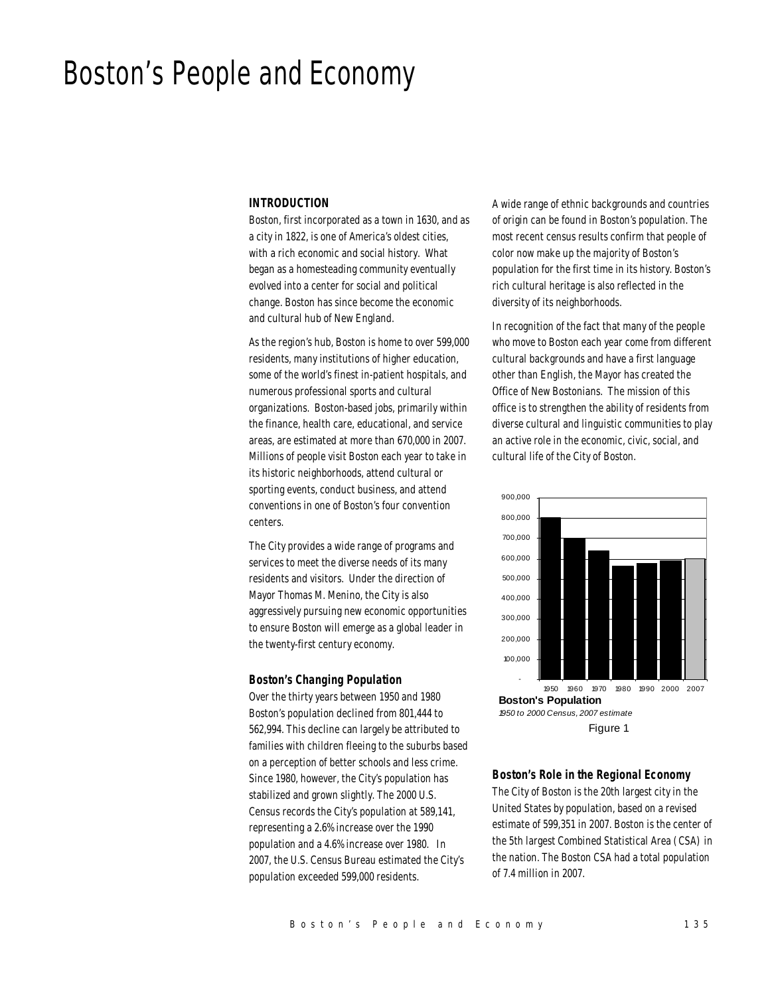# Boston's People and Economy

## *INTRODUCTION*

Boston, first incorporated as a town in 1630, and as a city in 1822, is one of America's oldest cities, with a rich economic and social history. What began as a homesteading community eventually evolved into a center for social and political change. Boston has since become the economic and cultural hub of New England.

As the region's hub, Boston is home to over 599,000 residents, many institutions of higher education, some of the world's finest in-patient hospitals, and numerous professional sports and cultural organizations. Boston-based jobs, primarily within the finance, health care, educational, and service areas, are estimated at more than 670,000 in 2007. Millions of people visit Boston each year to take in its historic neighborhoods, attend cultural or sporting events, conduct business, and attend conventions in one of Boston's four convention centers.

The City provides a wide range of programs and services to meet the diverse needs of its many residents and visitors. Under the direction of Mayor Thomas M. Menino, the City is also aggressively pursuing new economic opportunities to ensure Boston will emerge as a global leader in the twenty-first century economy.

#### *Boston's Changing Population*

Over the thirty years between 1950 and 1980 Boston's population declined from 801,444 to 562,994. This decline can largely be attributed to families with children fleeing to the suburbs based on a perception of better schools and less crime. Since 1980, however, the City's population has stabilized and grown slightly. The 2000 U.S. Census records the City's population at 589,141, representing a 2.6% increase over the 1990 population and a 4.6% increase over 1980. In 2007, the U.S. Census Bureau estimated the City's population exceeded 599,000 residents.

A wide range of ethnic backgrounds and countries of origin can be found in Boston's population. The most recent census results confirm that people of color now make up the majority of Boston's population for the first time in its history. Boston's rich cultural heritage is also reflected in the diversity of its neighborhoods.

In recognition of the fact that many of the people who move to Boston each year come from different cultural backgrounds and have a first language other than English, the Mayor has created the Office of New Bostonians. The mission of this office is to strengthen the ability of residents from diverse cultural and linguistic communities to play an active role in the economic, civic, social, and cultural life of the City of Boston.



#### *Boston's Role in the Regional Economy*

The City of Boston is the 20th largest city in the United States by population, based on a revised estimate of 599,351 in 2007. Boston is the center of the 5th largest Combined Statistical Area (CSA) in the nation. The Boston CSA had a total population of 7.4 million in 2007.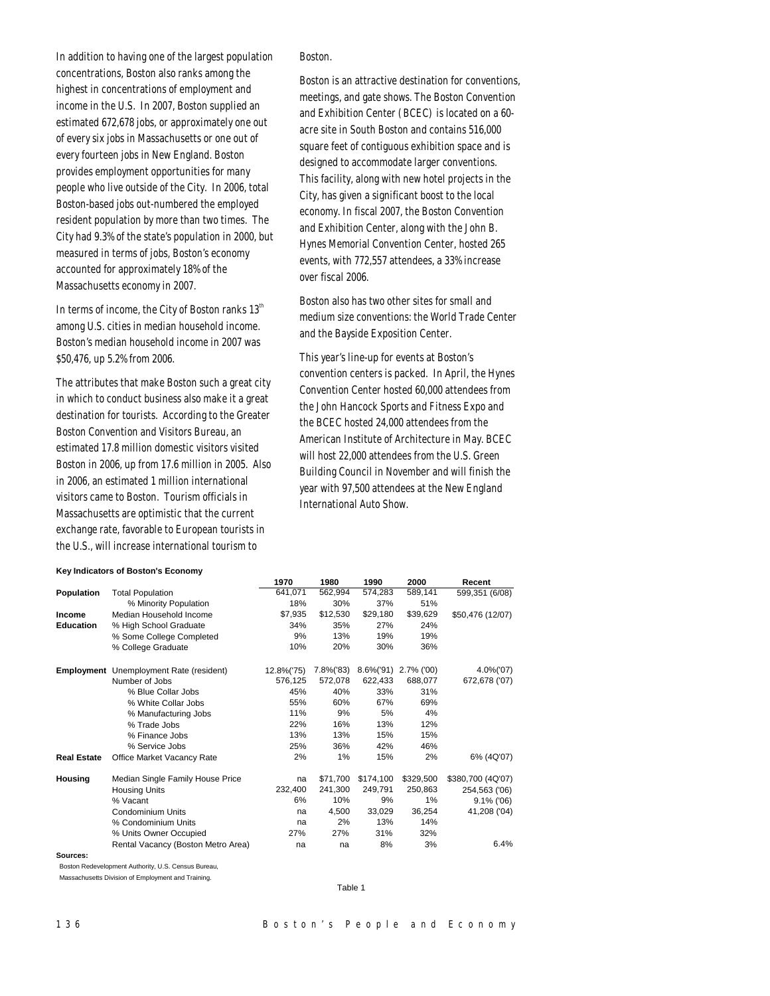In addition to having one of the largest population concentrations, Boston also ranks among the highest in concentrations of employment and income in the U.S. In 2007, Boston supplied an estimated 672,678 jobs, or approximately one out of every six jobs in Massachusetts or one out of every fourteen jobs in New England. Boston provides employment opportunities for many people who live outside of the City. In 2006, total Boston-based jobs out-numbered the employed resident population by more than two times. The City had 9.3% of the state's population in 2000, but measured in terms of jobs, Boston's economy accounted for approximately 18% of the Massachusetts economy in 2007.

In terms of income, the City of Boston ranks  $13<sup>th</sup>$ among U.S. cities in median household income. Boston's median household income in 2007 was \$50,476, up 5.2% from 2006.

The attributes that make Boston such a great city in which to conduct business also make it a great destination for tourists. According to the Greater Boston Convention and Visitors Bureau, an estimated 17.8 million domestic visitors visited Boston in 2006, up from 17.6 million in 2005. Also in 2006, an estimated 1 million international visitors came to Boston. Tourism officials in Massachusetts are optimistic that the current exchange rate, favorable to European tourists in the U.S., will increase international tourism to

#### Boston.

Boston is an attractive destination for conventions, meetings, and gate shows. The Boston Convention and Exhibition Center (BCEC) is located on a 60 acre site in South Boston and contains 516,000 square feet of contiguous exhibition space and is designed to accommodate larger conventions. This facility, along with new hotel projects in the City, has given a significant boost to the local economy. In fiscal 2007, the Boston Convention and Exhibition Center, along with the John B. Hynes Memorial Convention Center, hosted 265 events, with 772,557 attendees, a 33% increase over fiscal 2006.

Boston also has two other sites for small and medium size conventions: the World Trade Center and the Bayside Exposition Center.

This year's line-up for events at Boston's convention centers is packed. In April, the Hynes Convention Center hosted 60,000 attendees from the John Hancock Sports and Fitness Expo and the BCEC hosted 24,000 attendees from the American Institute of Architecture in May. BCEC will host 22,000 attendees from the U.S. Green Building Council in November and will finish the year with 97,500 attendees at the New England International Auto Show.

#### **Key Indicators of Boston's Economy**

|                    |                                                | 1970       | 1980      | 1990          | 2000          | Recent            |
|--------------------|------------------------------------------------|------------|-----------|---------------|---------------|-------------------|
| <b>Population</b>  | <b>Total Population</b>                        | 641,071    | 562,994   | 574,283       | 589,141       | 599,351 (6/08)    |
|                    | % Minority Population                          | 18%        | 30%       | 37%           | 51%           |                   |
| Income             | Median Household Income                        | \$7,935    | \$12,530  | \$29,180      | \$39,629      | \$50,476 (12/07)  |
| <b>Education</b>   | % High School Graduate                         | 34%        | 35%       | 27%           | 24%           |                   |
|                    | % Some College Completed                       | 9%         | 13%       | 19%           | 19%           |                   |
|                    | % College Graduate                             | 10%        | 20%       | 30%           | 36%           |                   |
|                    | <b>Employment</b> Unemployment Rate (resident) | 12.8%('75) | 7.8%('83) | $8.6\%$ ('91) | $2.7\%$ ('00) | 4.0%('07)         |
|                    | Number of Jobs                                 | 576.125    | 572,078   | 622.433       | 688,077       | 672,678 ('07)     |
|                    | % Blue Collar Jobs                             | 45%        | 40%       | 33%           | 31%           |                   |
|                    | % White Collar Jobs                            | 55%        | 60%       | 67%           | 69%           |                   |
|                    | % Manufacturing Jobs                           | 11%        | 9%        | 5%            | 4%            |                   |
|                    | % Trade Jobs                                   | 22%        | 16%       | 13%           | 12%           |                   |
|                    | % Finance Jobs                                 | 13%        | 13%       | 15%           | 15%           |                   |
|                    | % Service Jobs                                 | 25%        | 36%       | 42%           | 46%           |                   |
| <b>Real Estate</b> | Office Market Vacancy Rate                     | 2%         | 1%        | 15%           | 2%            | 6% (4Q'07)        |
| Housing            | Median Single Family House Price               | na         | \$71,700  | \$174,100     | \$329,500     | \$380,700 (4Q'07) |
|                    | <b>Housing Units</b>                           | 232,400    | 241,300   | 249,791       | 250,863       | 254,563 ('06)     |
|                    | % Vacant                                       | 6%         | 10%       | 9%            | 1%            | $9.1\%$ ('06)     |
|                    | Condominium Units                              | na         | 4,500     | 33,029        | 36,254        | 41,208 ('04)      |
|                    | % Condominium Units                            | na         | 2%        | 13%           | 14%           |                   |
|                    | % Units Owner Occupied                         | 27%        | 27%       | 31%           | 32%           |                   |
|                    | Rental Vacancy (Boston Metro Area)             | na         | na        | 8%            | 3%            | 6.4%              |
| Sources:           |                                                |            |           |               |               |                   |

Boston Redevelopment Authority, U.S. Census Bureau,

Massachusetts Division of Employment and Training.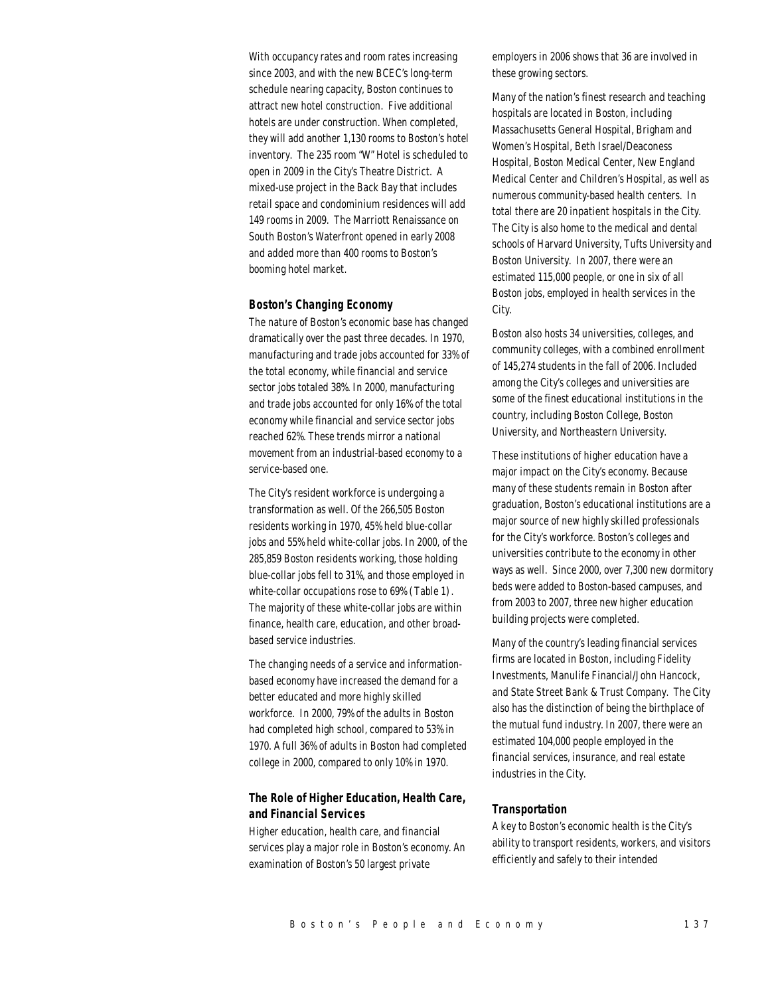With occupancy rates and room rates increasing since 2003, and with the new BCEC's long-term schedule nearing capacity, Boston continues to attract new hotel construction. Five additional hotels are under construction. When completed, they will add another 1,130 rooms to Boston's hotel inventory. The 235 room "W" Hotel is scheduled to open in 2009 in the City's Theatre District. A mixed-use project in the Back Bay that includes retail space and condominium residences will add 149 rooms in 2009. The Marriott Renaissance on South Boston's Waterfront opened in early 2008 and added more than 400 rooms to Boston's booming hotel market.

#### *Boston's Changing Economy*

The nature of Boston's economic base has changed dramatically over the past three decades. In 1970, manufacturing and trade jobs accounted for 33% of the total economy, while financial and service sector jobs totaled 38%. In 2000, manufacturing and trade jobs accounted for only 16% of the total economy while financial and service sector jobs reached 62%. These trends mirror a national movement from an industrial-based economy to a service-based one.

The City's resident workforce is undergoing a transformation as well. Of the 266,505 Boston residents working in 1970, 45% held blue-collar jobs and 55% held white-collar jobs. In 2000, of the 285,859 Boston residents working, those holding blue-collar jobs fell to 31%, and those employed in white-collar occupations rose to 69% (Table 1). The majority of these white-collar jobs are within finance, health care, education, and other broadbased service industries.

The changing needs of a service and informationbased economy have increased the demand for a better educated and more highly skilled workforce. In 2000, 79% of the adults in Boston had completed high school, compared to 53% in 1970. A full 36% of adults in Boston had completed college in 2000, compared to only 10% in 1970.

## *The Role of Higher Education, Health Care, and Financial Services*

Higher education, health care, and financial services play a major role in Boston's economy. An examination of Boston's 50 largest private

employers in 2006 shows that 36 are involved in these growing sectors.

Many of the nation's finest research and teaching hospitals are located in Boston, including Massachusetts General Hospital, Brigham and Women's Hospital, Beth Israel/Deaconess Hospital, Boston Medical Center, New England Medical Center and Children's Hospital, as well as numerous community-based health centers. In total there are 20 inpatient hospitals in the City. The City is also home to the medical and dental schools of Harvard University, Tufts University and Boston University. In 2007, there were an estimated 115,000 people, or one in six of all Boston jobs, employed in health services in the City.

Boston also hosts 34 universities, colleges, and community colleges, with a combined enrollment of 145,274 students in the fall of 2006. Included among the City's colleges and universities are some of the finest educational institutions in the country, including Boston College, Boston University, and Northeastern University.

These institutions of higher education have a major impact on the City's economy. Because many of these students remain in Boston after graduation, Boston's educational institutions are a major source of new highly skilled professionals for the City's workforce. Boston's colleges and universities contribute to the economy in other ways as well. Since 2000, over 7,300 new dormitory beds were added to Boston-based campuses, and from 2003 to 2007, three new higher education building projects were completed.

Many of the country's leading financial services firms are located in Boston, including Fidelity Investments, Manulife Financial/John Hancock, and State Street Bank & Trust Company. The City also has the distinction of being the birthplace of the mutual fund industry. In 2007, there were an estimated 104,000 people employed in the financial services, insurance, and real estate industries in the City.

#### *Transportation*

A key to Boston's economic health is the City's ability to transport residents, workers, and visitors efficiently and safely to their intended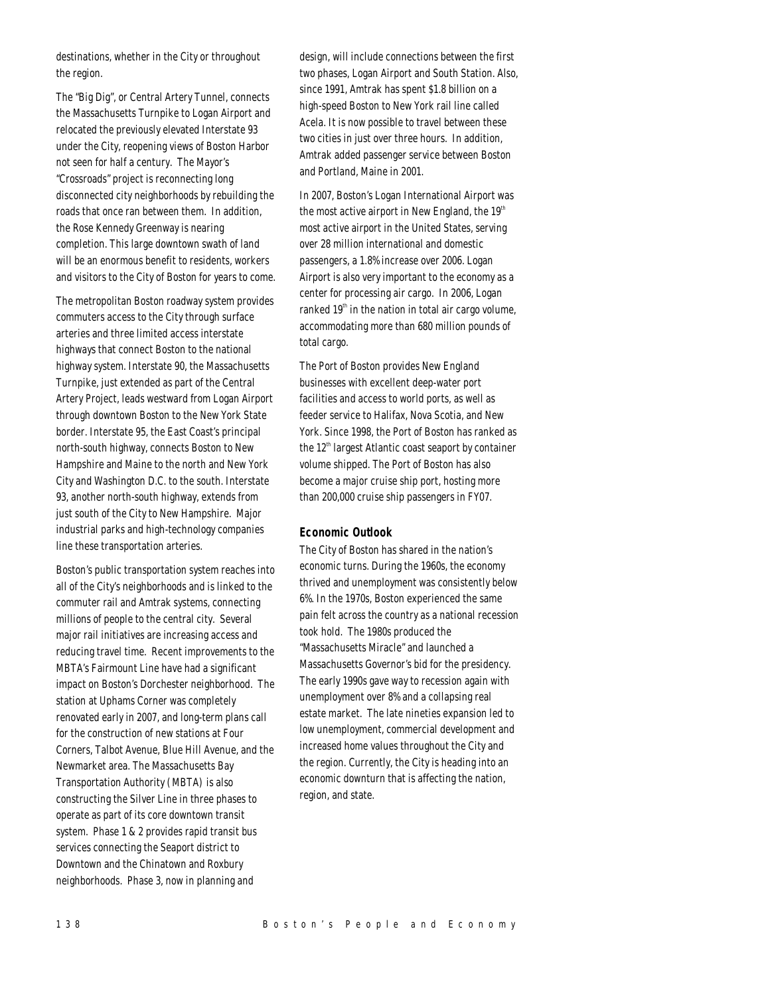destinations, whether in the City or throughout the region.

The "Big Dig", or Central Artery Tunnel, connects the Massachusetts Turnpike to Logan Airport and relocated the previously elevated Interstate 93 under the City, reopening views of Boston Harbor not seen for half a century. The Mayor's "Crossroads" project is reconnecting long disconnected city neighborhoods by rebuilding the roads that once ran between them. In addition, the Rose Kennedy Greenway is nearing completion. This large downtown swath of land will be an enormous benefit to residents, workers and visitors to the City of Boston for years to come.

The metropolitan Boston roadway system provides commuters access to the City through surface arteries and three limited access interstate highways that connect Boston to the national highway system. Interstate 90, the Massachusetts Turnpike, just extended as part of the Central Artery Project, leads westward from Logan Airport through downtown Boston to the New York State border. Interstate 95, the East Coast's principal north-south highway, connects Boston to New Hampshire and Maine to the north and New York City and Washington D.C. to the south. Interstate 93, another north-south highway, extends from just south of the City to New Hampshire. Major industrial parks and high-technology companies line these transportation arteries.

Boston's public transportation system reaches into all of the City's neighborhoods and is linked to the commuter rail and Amtrak systems, connecting millions of people to the central city. Several major rail initiatives are increasing access and reducing travel time. Recent improvements to the MBTA's Fairmount Line have had a significant impact on Boston's Dorchester neighborhood. The station at Uphams Corner was completely renovated early in 2007, and long-term plans call for the construction of new stations at Four Corners, Talbot Avenue, Blue Hill Avenue, and the Newmarket area. The Massachusetts Bay Transportation Authority (MBTA) is also constructing the Silver Line in three phases to operate as part of its core downtown transit system. Phase 1 & 2 provides rapid transit bus services connecting the Seaport district to Downtown and the Chinatown and Roxbury neighborhoods. Phase 3, now in planning and

design, will include connections between the first two phases, Logan Airport and South Station. Also, since 1991, Amtrak has spent \$1.8 billion on a high-speed Boston to New York rail line called Acela. It is now possible to travel between these two cities in just over three hours. In addition, Amtrak added passenger service between Boston and Portland, Maine in 2001.

In 2007, Boston's Logan International Airport was the most active airport in New England, the  $19<sup>th</sup>$ most active airport in the United States, serving over 28 million international and domestic passengers, a 1.8% increase over 2006. Logan Airport is also very important to the economy as a center for processing air cargo. In 2006, Logan ranked  $19<sup>th</sup>$  in the nation in total air cargo volume, accommodating more than 680 million pounds of total cargo.

The Port of Boston provides New England businesses with excellent deep-water port facilities and access to world ports, as well as feeder service to Halifax, Nova Scotia, and New York. Since 1998, the Port of Boston has ranked as the  $12<sup>th</sup>$  largest Atlantic coast seaport by container volume shipped. The Port of Boston has also become a major cruise ship port, hosting more than 200,000 cruise ship passengers in FY07.

## *Economic Outlook*

The City of Boston has shared in the nation's economic turns. During the 1960s, the economy thrived and unemployment was consistently below 6%. In the 1970s, Boston experienced the same pain felt across the country as a national recession took hold. The 1980s produced the "Massachusetts Miracle" and launched a Massachusetts Governor's bid for the presidency. The early 1990s gave way to recession again with unemployment over 8% and a collapsing real estate market. The late nineties expansion led to low unemployment, commercial development and increased home values throughout the City and the region. Currently, the City is heading into an economic downturn that is affecting the nation, region, and state.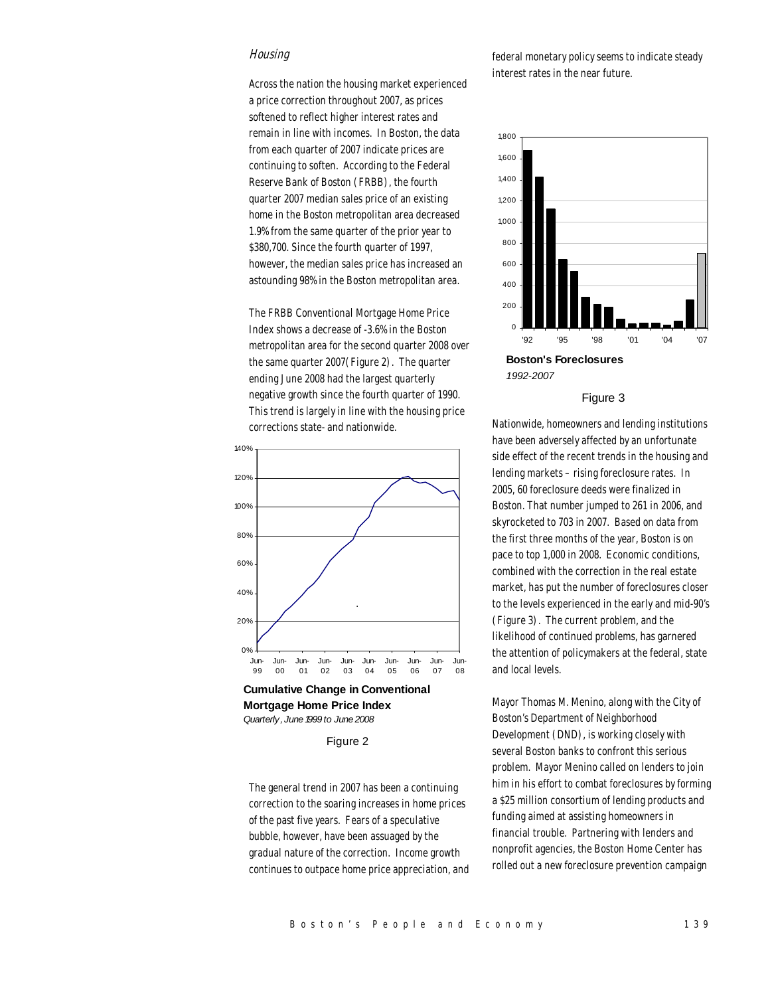### **Housing**

Across the nation the housing market experienced a price correction throughout 2007, as prices softened to reflect higher interest rates and remain in line with incomes. In Boston, the data from each quarter of 2007 indicate prices are continuing to soften. According to the Federal Reserve Bank of Boston (FRBB), the fourth quarter 2007 median sales price of an existing home in the Boston metropolitan area decreased 1.9% from the same quarter of the prior year to \$380,700. Since the fourth quarter of 1997, however, the median sales price has increased an astounding 98% in the Boston metropolitan area.

The FRBB Conventional Mortgage Home Price Index shows a decrease of -3.6% in the Boston metropolitan area for the second quarter 2008 over the same quarter 2007(Figure 2). The quarter ending June 2008 had the largest quarterly negative growth since the fourth quarter of 1990. This trend is largely in line with the housing price corrections state- and nationwide.



**Cumulative Change in Conventional Mortgage Home Price Index** *Quarterly , June 1999 to June 2008*

Figure 2

The general trend in 2007 has been a continuing correction to the soaring increases in home prices of the past five years. Fears of a speculative bubble, however, have been assuaged by the gradual nature of the correction. Income growth continues to outpace home price appreciation, and federal monetary policy seems to indicate steady interest rates in the near future.



#### Figure 3

Nationwide, homeowners and lending institutions have been adversely affected by an unfortunate side effect of the recent trends in the housing and lending markets – rising foreclosure rates. In 2005, 60 foreclosure deeds were finalized in Boston. That number jumped to 261 in 2006, and skyrocketed to 703 in 2007. Based on data from the first three months of the year, Boston is on pace to top 1,000 in 2008. Economic conditions, combined with the correction in the real estate market, has put the number of foreclosures closer to the levels experienced in the early and mid-90's (Figure 3). The current problem, and the likelihood of continued problems, has garnered the attention of policymakers at the federal, state and local levels.

Mayor Thomas M. Menino, along with the City of Boston's Department of Neighborhood Development (DND), is working closely with several Boston banks to confront this serious problem. Mayor Menino called on lenders to join him in his effort to combat foreclosures by forming a \$25 million consortium of lending products and funding aimed at assisting homeowners in financial trouble. Partnering with lenders and nonprofit agencies, the Boston Home Center has rolled out a new foreclosure prevention campaign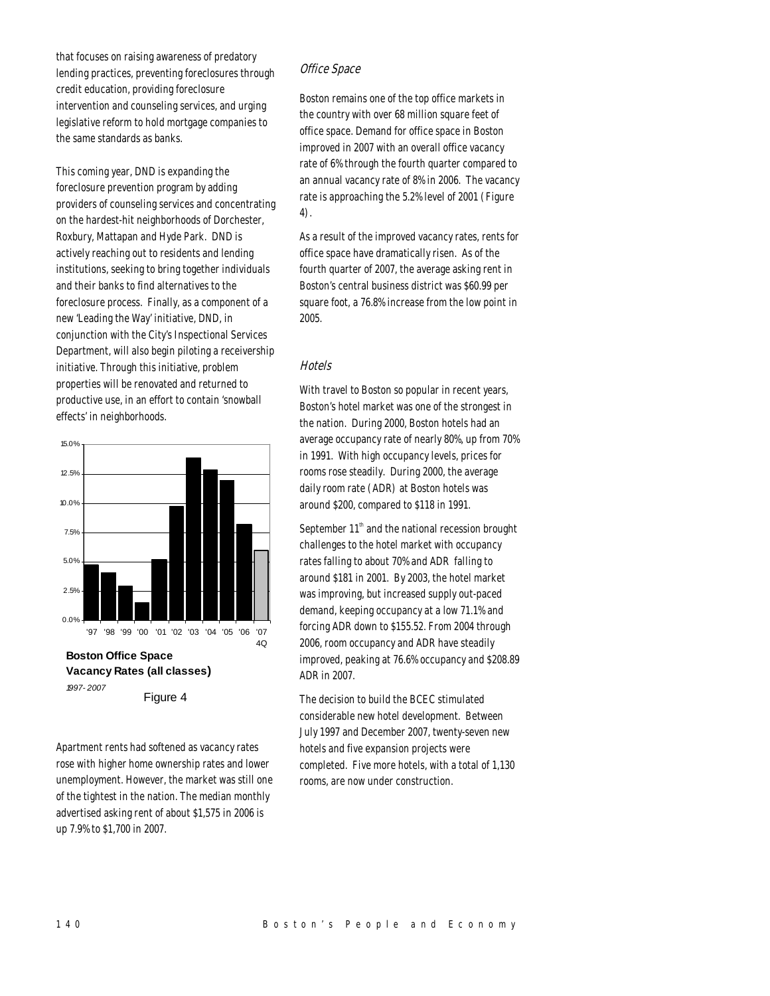that focuses on raising awareness of predatory lending practices, preventing foreclosures through credit education, providing foreclosure intervention and counseling services, and urging legislative reform to hold mortgage companies to the same standards as banks.

This coming year, DND is expanding the foreclosure prevention program by adding providers of counseling services and concentrating on the hardest-hit neighborhoods of Dorchester, Roxbury, Mattapan and Hyde Park. DND is actively reaching out to residents and lending institutions, seeking to bring together individuals and their banks to find alternatives to the foreclosure process. Finally, as a component of a new 'Leading the Way' initiative, DND, in conjunction with the City's Inspectional Services Department, will also begin piloting a receivership initiative. Through this initiative, problem properties will be renovated and returned to productive use, in an effort to contain 'snowball effects' in neighborhoods.



*1997- 2007*

Figure 4

Apartment rents had softened as vacancy rates rose with higher home ownership rates and lower unemployment. However, the market was still one of the tightest in the nation. The median monthly advertised asking rent of about \$1,575 in 2006 is up 7.9% to \$1,700 in 2007.

## Office Space

Boston remains one of the top office markets in the country with over 68 million square feet of office space. Demand for office space in Boston improved in 2007 with an overall office vacancy rate of 6% through the fourth quarter compared to an annual vacancy rate of 8% in 2006. The vacancy rate is approaching the 5.2% level of 2001 (Figure 4).

As a result of the improved vacancy rates, rents for office space have dramatically risen. As of the fourth quarter of 2007, the average asking rent in Boston's central business district was \$60.99 per square foot, a 76.8% increase from the low point in 2005.

## **Hotels**

With travel to Boston so popular in recent years, Boston's hotel market was one of the strongest in the nation. During 2000, Boston hotels had an average occupancy rate of nearly 80%, up from 70% in 1991. With high occupancy levels, prices for rooms rose steadily. During 2000, the average daily room rate (ADR) at Boston hotels was around \$200, compared to \$118 in 1991.

September  $11<sup>th</sup>$  and the national recession brought challenges to the hotel market with occupancy rates falling to about 70% and ADR falling to around \$181 in 2001. By 2003, the hotel market was improving, but increased supply out-paced demand, keeping occupancy at a low 71.1% and forcing ADR down to \$155.52. From 2004 through 2006, room occupancy and ADR have steadily improved, peaking at 76.6% occupancy and \$208.89 ADR in 2007.

The decision to build the BCEC stimulated considerable new hotel development. Between July 1997 and December 2007, twenty-seven new hotels and five expansion projects were completed. Five more hotels, with a total of 1,130 rooms, are now under construction.